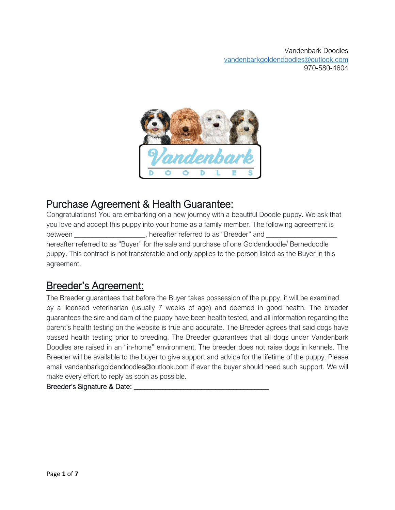

# Purchase Agreement & Health Guarantee:

Congratulations! You are embarking on a new journey with a beautiful Doodle puppy. We ask that you love and accept this puppy into your home as a family member. The following agreement is between efferred to as "Breeder" and between hereafter referred to as "Buyer" for the sale and purchase of one Goldendoodle/ Bernedoodle puppy. This contract is not transferable and only applies to the person listed as the Buyer in this agreement.

# Breeder's Agreement:

The Breeder guarantees that before the Buyer takes possession of the puppy, it will be examined by a licensed veterinarian (usually 7 weeks of age) and deemed in good health. The breeder guarantees the sire and dam of the puppy have been health tested, and all information regarding the parent's health testing on the website is true and accurate. The Breeder agrees that said dogs have passed health testing prior to breeding. The Breeder guarantees that all dogs under Vandenbark Doodles are raised in an "in-home" environment. The breeder does not raise dogs in kennels. The Breeder will be available to the buyer to give support and advice for the lifetime of the puppy. Please email vandenbarkgoldendoodles@outlook.com if ever the buyer should need such support. We will make every effort to reply as soon as possible.

### Breeder's Signature & Date: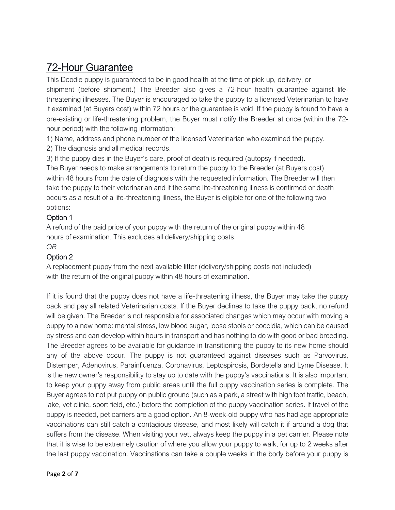# 72-Hour Guarantee

This Doodle puppy is guaranteed to be in good health at the time of pick up, delivery, or shipment (before shipment.) The Breeder also gives a 72-hour health guarantee against lifethreatening illnesses. The Buyer is encouraged to take the puppy to a licensed Veterinarian to have it examined (at Buyers cost) within 72 hours or the guarantee is void. If the puppy is found to have a pre-existing or life-threatening problem, the Buyer must notify the Breeder at once (within the 72 hour period) with the following information:

1) Name, address and phone number of the licensed Veterinarian who examined the puppy.

2) The diagnosis and all medical records.

3) If the puppy dies in the Buyer's care, proof of death is required (autopsy if needed). The Buyer needs to make arrangements to return the puppy to the Breeder (at Buyers cost) within 48 hours from the date of diagnosis with the requested information. The Breeder will then take the puppy to their veterinarian and if the same life-threatening illness is confirmed or death occurs as a result of a life-threatening illness, the Buyer is eligible for one of the following two options:

### Option 1

A refund of the paid price of your puppy with the return of the original puppy within 48 hours of examination. This excludes all delivery/shipping costs.

#### *OR*

#### Option 2

A replacement puppy from the next available litter (delivery/shipping costs not included) with the return of the original puppy within 48 hours of examination.

If it is found that the puppy does not have a life-threatening illness, the Buyer may take the puppy back and pay all related Veterinarian costs. If the Buyer declines to take the puppy back, no refund will be given. The Breeder is not responsible for associated changes which may occur with moving a puppy to a new home: mental stress, low blood sugar, loose stools or coccidia, which can be caused by stress and can develop within hours in transport and has nothing to do with good or bad breeding. The Breeder agrees to be available for guidance in transitioning the puppy to its new home should any of the above occur. The puppy is not guaranteed against diseases such as Parvovirus, Distemper, Adenovirus, Parainfluenza, Coronavirus, Leptospirosis, Bordetella and Lyme Disease. It is the new owner's responsibility to stay up to date with the puppy's vaccinations. It is also important to keep your puppy away from public areas until the full puppy vaccination series is complete. The Buyer agrees to not put puppy on public ground (such as a park, a street with high foot traffic, beach, lake, vet clinic, sport field, etc.) before the completion of the puppy vaccination series. If travel of the puppy is needed, pet carriers are a good option. An 8-week-old puppy who has had age appropriate vaccinations can still catch a contagious disease, and most likely will catch it if around a dog that suffers from the disease. When visiting your vet, always keep the puppy in a pet carrier. Please note that it is wise to be extremely caution of where you allow your puppy to walk, for up to 2 weeks after the last puppy vaccination. Vaccinations can take a couple weeks in the body before your puppy is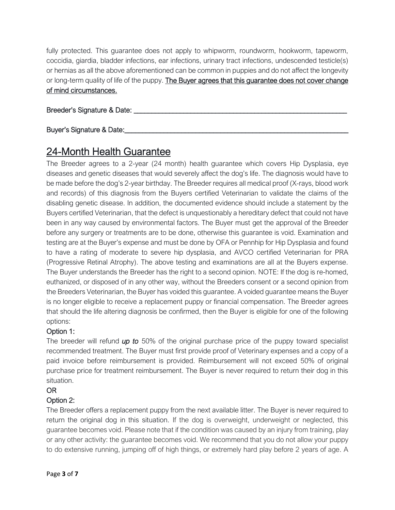fully protected. This guarantee does not apply to whipworm, roundworm, hookworm, tapeworm, coccidia, giardia, bladder infections, ear infections, urinary tract infections, undescended testicle(s) or hernias as all the above aforementioned can be common in puppies and do not affect the longevity or long-term quality of life of the puppy. The Buyer agrees that this guarantee does not cover change of mind circumstances.

#### Breeder's Signature & Date: \_\_\_\_\_\_\_\_\_\_\_\_\_\_\_\_\_\_\_\_\_\_\_\_\_\_\_\_\_\_\_\_\_\_\_\_\_\_\_\_\_\_\_\_\_\_\_\_\_\_\_\_\_\_\_\_\_\_\_\_

### Buyer's Signature & Date:

## 24-Month Health Guarantee

The Breeder agrees to a 2-year (24 month) health guarantee which covers Hip Dysplasia, eye diseases and genetic diseases that would severely affect the dog's life. The diagnosis would have to be made before the dog's 2-year birthday. The Breeder requires all medical proof (X-rays, blood work and records) of this diagnosis from the Buyers certified Veterinarian to validate the claims of the disabling genetic disease. In addition, the documented evidence should include a statement by the Buyers certified Veterinarian, that the defect is unquestionably a hereditary defect that could not have been in any way caused by environmental factors. The Buyer must get the approval of the Breeder before any surgery or treatments are to be done, otherwise this guarantee is void. Examination and testing are at the Buyer's expense and must be done by OFA or Pennhip for Hip Dysplasia and found to have a rating of moderate to severe hip dysplasia, and AVCO certified Veterinarian for PRA (Progressive Retinal Atrophy). The above testing and examinations are all at the Buyers expense. The Buyer understands the Breeder has the right to a second opinion. NOTE: If the dog is re-homed, euthanized, or disposed of in any other way, without the Breeders consent or a second opinion from the Breeders Veterinarian, the Buyer has voided this guarantee. A voided guarantee means the Buyer is no longer eligible to receive a replacement puppy or financial compensation. The Breeder agrees that should the life altering diagnosis be confirmed, then the Buyer is eligible for one of the following options:

### Option 1:

The breeder will refund *up to* 50% of the original purchase price of the puppy toward specialist recommended treatment. The Buyer must first provide proof of Veterinary expenses and a copy of a paid invoice before reimbursement is provided. Reimbursement will not exceed 50% of original purchase price for treatment reimbursement. The Buyer is never required to return their dog in this situation.

### OR

### Option 2:

The Breeder offers a replacement puppy from the next available litter. The Buyer is never required to return the original dog in this situation. If the dog is overweight, underweight or neglected, this guarantee becomes void. Please note that if the condition was caused by an injury from training, play or any other activity: the guarantee becomes void. We recommend that you do not allow your puppy to do extensive running, jumping off of high things, or extremely hard play before 2 years of age. A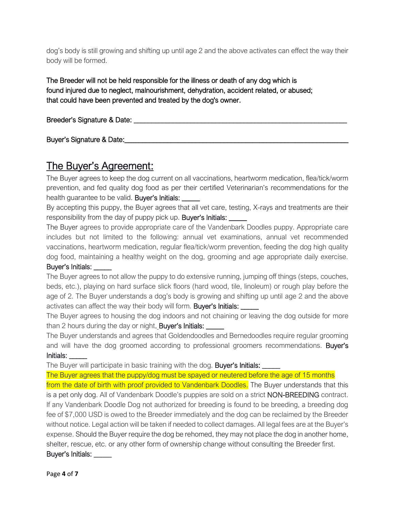dog's body is still growing and shifting up until age 2 and the above activates can effect the way their body will be formed.

The Breeder will not be held responsible for the illness or death of any dog which is found injured due to neglect, malnourishment, dehydration, accident related, or abused; that could have been prevented and treated by the dog's owner.

Breeder's Signature & Date: \_\_\_\_\_\_\_\_\_\_\_\_\_\_\_\_\_\_\_\_\_\_\_\_\_\_\_\_\_\_\_\_\_\_\_\_\_\_\_\_\_\_\_\_\_\_\_\_\_\_\_\_\_\_\_\_\_\_\_\_

Buyer's Signature & Date:

### The Buyer's Agreement:

The Buyer agrees to keep the dog current on all vaccinations, heartworm medication, flea/tick/worm prevention, and fed quality dog food as per their certified Veterinarian's recommendations for the health guarantee to be valid. Buyer's Initials:

By accepting this puppy, the Buyer agrees that all vet care, testing, X-rays and treatments are their responsibility from the day of puppy pick up. Buyer's Initials:

The Buyer agrees to provide appropriate care of the Vandenbark Doodles puppy. Appropriate care includes but not limited to the following: annual vet examinations, annual vet recommended vaccinations, heartworm medication, regular flea/tick/worm prevention, feeding the dog high quality dog food, maintaining a healthy weight on the dog, grooming and age appropriate daily exercise. Buyer's Initials:

The Buyer agrees to not allow the puppy to do extensive running, jumping off things (steps, couches, beds, etc.), playing on hard surface slick floors (hard wood, tile, linoleum) or rough play before the age of 2. The Buyer understands a dog's body is growing and shifting up until age 2 and the above activates can affect the way their body will form. Buyer's Initials:

The Buyer agrees to housing the dog indoors and not chaining or leaving the dog outside for more than 2 hours during the day or night. Buyer's Initials:

The Buyer understands and agrees that Goldendoodles and Bernedoodles require regular grooming and will have the dog groomed according to professional groomers recommendations. Buyer's Initials: \_\_\_\_\_

The Buyer will participate in basic training with the dog. Buyer's Initials:

The Buyer agrees that the puppy/dog must be spayed or neutered before the age of 15 months

from the date of birth with proof provided to Vandenbark Doodles. The Buyer understands that this is a pet only dog. All of Vandenbark Doodle's puppies are sold on a strict NON-BREEDING contract. If any Vandenbark Doodle Dog not authorized for breeding is found to be breeding, a breeding dog fee of \$7,000 USD is owed to the Breeder immediately and the dog can be reclaimed by the Breeder without notice. Legal action will be taken if needed to collect damages. All legal fees are at the Buyer's expense. Should the Buyer require the dog be rehomed, they may not place the dog in another home, shelter, rescue, etc. or any other form of ownership change without consulting the Breeder first. Buyer's Initials: \_\_\_\_\_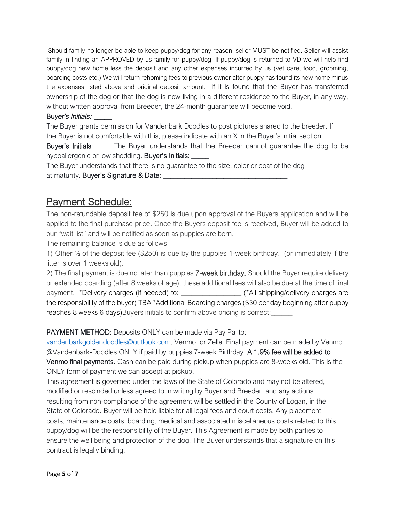Should family no longer be able to keep puppy/dog for any reason, seller MUST be notified. Seller will assist family in finding an APPROVED by us family for puppy/dog. If puppy/dog is returned to VD we will help find puppy/dog new home less the deposit and any other expenses incurred by us (vet care, food, grooming, boarding costs etc.) We will return rehoming fees to previous owner after puppy has found its new home minus the expenses listed above and original deposit amount. If it is found that the Buyer has transferred ownership of the dog or that the dog is now living in a different residence to the Buyer, in any way, without written approval from Breeder, the 24-month guarantee will become void.

#### Bu*yer's Initials: \_\_\_\_\_*

The Buyer grants permission for Vandenbark Doodles to post pictures shared to the breeder. If the Buyer is not comfortable with this, please indicate with an X in the Buyer's initial section.

Buyer's Initials: The Buyer understands that the Breeder cannot quarantee the dog to be hypoallergenic or low shedding. Buyer's Initials:

The Buyer understands that there is no guarantee to the size, color or coat of the dog at maturity. Buyer's Signature & Date: \_\_\_\_\_\_\_\_\_\_\_\_\_\_\_\_\_\_\_\_\_\_\_\_\_\_\_\_\_\_\_\_\_\_\_

### Payment Schedule:

The non-refundable deposit fee of \$250 is due upon approval of the Buyers application and will be applied to the final purchase price. Once the Buyers deposit fee is received, Buyer will be added to our "wait list" and will be notified as soon as puppies are born.

The remaining balance is due as follows:

1) Other ½ of the deposit fee (\$250) is due by the puppies 1-week birthday. (or immediately if the litter is over 1 weeks old).

2) The final payment is due no later than puppies 7-week birthday. Should the Buyer require delivery or extended boarding (after 8 weeks of age), these additional fees will also be due at the time of final payment. \*Delivery charges (if needed) to: \_\_\_\_\_\_\_\_\_\_\_\_\_\_\_\_\_\_\_\_ (\*All shipping/delivery charges are the responsibility of the buyer) TBA \*Additional Boarding charges (\$30 per day beginning after puppy reaches 8 weeks 6 days)Buyers initials to confirm above pricing is correct:

#### PAYMENT METHOD: Deposits ONLY can be made via Pay Pal to:

[vandenbarkgoldendoodles@outlook.com,](mailto:vandenbarkgoldendoodles@outlook.com) Venmo, or Zelle. Final payment can be made by Venmo @Vandenbark-Doodles ONLY if paid by puppies 7-week Birthday. A 1.9% fee will be added to Venmo final payments. Cash can be paid during pickup when puppies are 8-weeks old. This is the ONLY form of payment we can accept at pickup.

This agreement is governed under the laws of the State of Colorado and may not be altered, modified or rescinded unless agreed to in writing by Buyer and Breeder, and any actions resulting from non-compliance of the agreement will be settled in the County of Logan, in the State of Colorado. Buyer will be held liable for all legal fees and court costs. Any placement costs, maintenance costs, boarding, medical and associated miscellaneous costs related to this puppy/dog will be the responsibility of the Buyer. This Agreement is made by both parties to ensure the well being and protection of the dog. The Buyer understands that a signature on this contract is legally binding.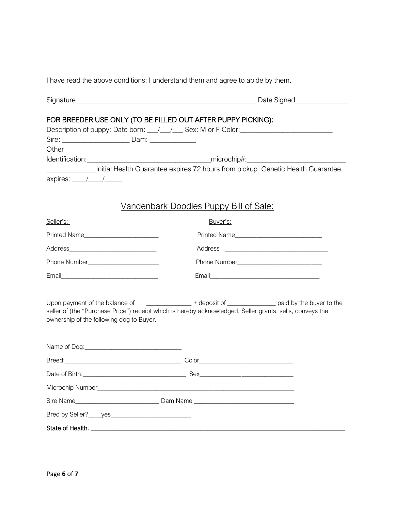I have read the above conditions; I understand them and agree to abide by them.

| FOR BREEDER USE ONLY (TO BE FILLED OUT AFTER PUPPY PICKING):<br>Description of puppy: Date born: \[mathbbstdt / / mathbstdt / Sex: M or F Color: \[mathbstdt / Color:                                            |                                                                                                    |
|------------------------------------------------------------------------------------------------------------------------------------------------------------------------------------------------------------------|----------------------------------------------------------------------------------------------------|
|                                                                                                                                                                                                                  |                                                                                                    |
| Other                                                                                                                                                                                                            |                                                                                                    |
|                                                                                                                                                                                                                  | Initial Health Guarantee expires 72 hours from pickup. Genetic Health Guarantee                    |
| expires: $\frac{1}{\sqrt{1-\frac{1}{2}}}$                                                                                                                                                                        |                                                                                                    |
|                                                                                                                                                                                                                  |                                                                                                    |
| <u>Vandenbark Doodles Puppy Bill of Sale:</u>                                                                                                                                                                    |                                                                                                    |
| Seller's:                                                                                                                                                                                                        | Buyer's:                                                                                           |
| Printed Name                                                                                                                                                                                                     | Printed Name                                                                                       |
|                                                                                                                                                                                                                  |                                                                                                    |
|                                                                                                                                                                                                                  |                                                                                                    |
|                                                                                                                                                                                                                  |                                                                                                    |
|                                                                                                                                                                                                                  |                                                                                                    |
|                                                                                                                                                                                                                  | Upon payment of the balance of ______________ + deposit of ______________ paid by the buyer to the |
| seller of (the "Purchase Price") receipt which is hereby acknowledged, Seller grants, sells, conveys the<br>ownership of the following dog to Buyer.                                                             |                                                                                                    |
|                                                                                                                                                                                                                  |                                                                                                    |
|                                                                                                                                                                                                                  |                                                                                                    |
|                                                                                                                                                                                                                  |                                                                                                    |
|                                                                                                                                                                                                                  |                                                                                                    |
|                                                                                                                                                                                                                  |                                                                                                    |
|                                                                                                                                                                                                                  |                                                                                                    |
|                                                                                                                                                                                                                  |                                                                                                    |
| State of Health: <b>State of Health: State of Health: State of Health: State of Health: State of Health: State of Health: State of Health: State of Health: State of Health: State of Health: State of Healt</b> |                                                                                                    |
|                                                                                                                                                                                                                  |                                                                                                    |